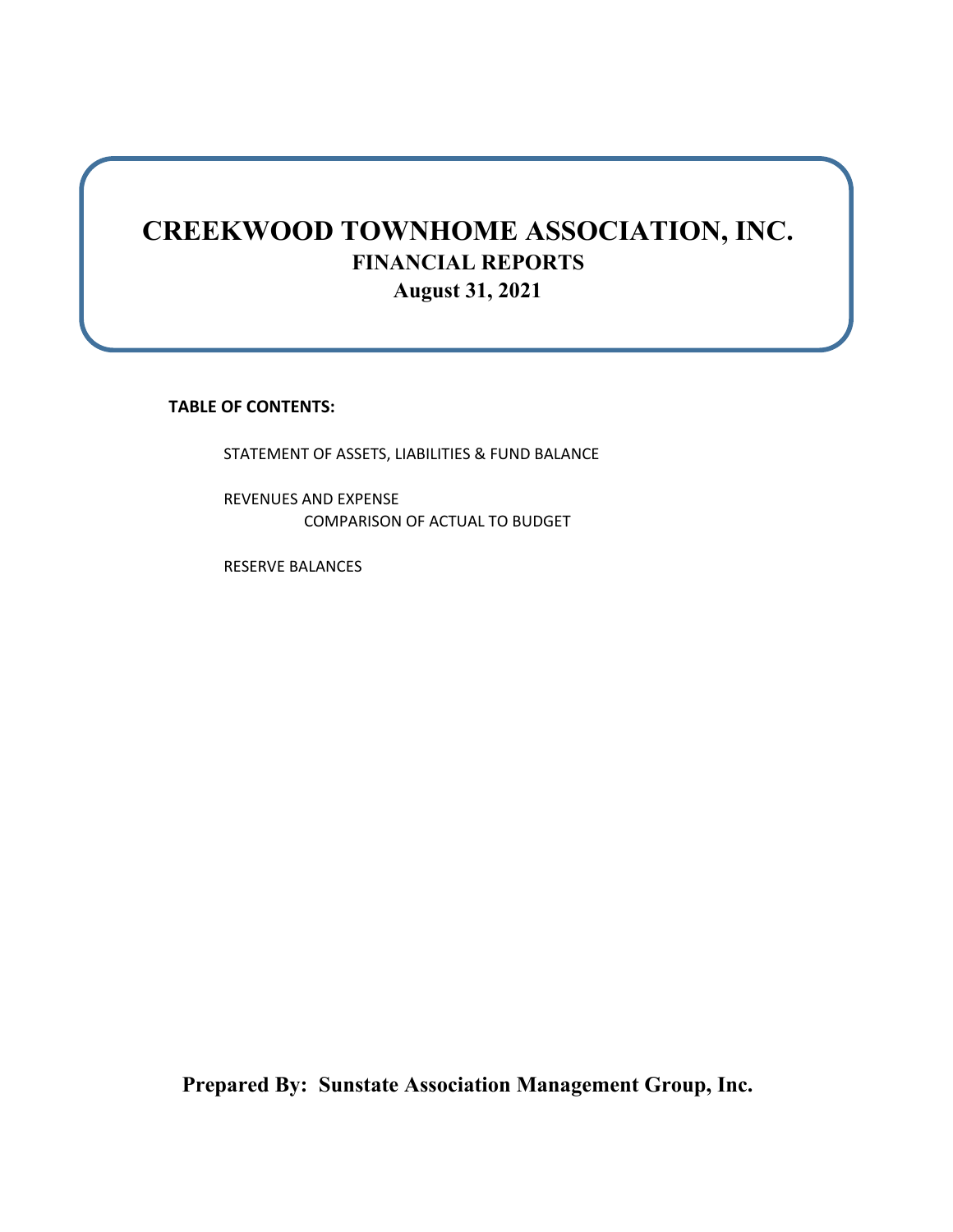## **CREEKWOOD TOWNHOME ASSOCIATION, INC. FINANCIAL REPORTS August 31, 2021**

**TABLE OF CONTENTS:**

STATEMENT OF ASSETS, LIABILITIES & FUND BALANCE

REVENUES AND EXPENSE COMPARISON OF ACTUAL TO BUDGET

RESERVE BALANCES

**Prepared By: Sunstate Association Management Group, Inc.**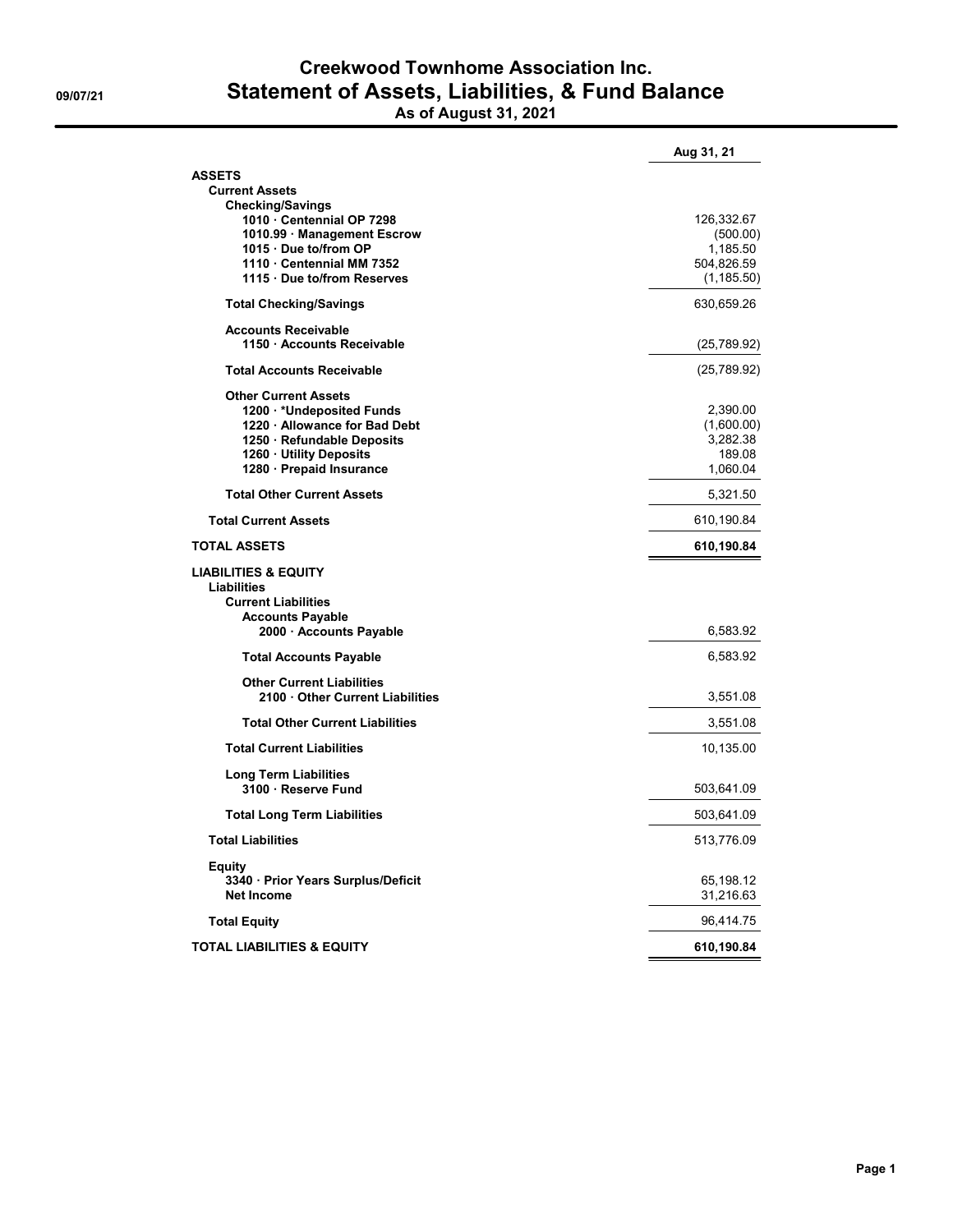## **Creekwood Townhome Association Inc. 09/07/21 Statement of Assets, Liabilities, & Fund Balance As of August 31, 2021**

| <b>AV VI Auguvi VI, 4941</b> |  |  |  |  |
|------------------------------|--|--|--|--|
|                              |  |  |  |  |
|                              |  |  |  |  |
|                              |  |  |  |  |
|                              |  |  |  |  |
|                              |  |  |  |  |
|                              |  |  |  |  |

| <b>ASSETS</b>                                                                |                        |
|------------------------------------------------------------------------------|------------------------|
| <b>Current Assets</b>                                                        |                        |
| <b>Checking/Savings</b>                                                      |                        |
| 1010 Centennial OP 7298<br>1010.99 Management Escrow                         | 126,332.67<br>(500.00) |
| 1015 · Due to/from OP                                                        | 1,185.50               |
| 1110 Centennial MM 7352                                                      | 504,826.59             |
| 1115 Due to/from Reserves                                                    | (1, 185.50)            |
| <b>Total Checking/Savings</b>                                                | 630,659.26             |
| <b>Accounts Receivable</b>                                                   |                        |
| 1150 Accounts Receivable                                                     | (25,789.92)            |
| <b>Total Accounts Receivable</b>                                             | (25,789.92)            |
| <b>Other Current Assets</b>                                                  |                        |
| 1200 VUndeposited Funds                                                      | 2,390.00               |
| 1220 Allowance for Bad Debt                                                  | (1,600.00)             |
| 1250 · Refundable Deposits                                                   | 3,282.38               |
| 1260 Utility Deposits                                                        | 189.08                 |
| 1280 · Prepaid Insurance                                                     | 1,060.04               |
| <b>Total Other Current Assets</b>                                            | 5,321.50               |
| <b>Total Current Assets</b>                                                  | 610,190.84             |
| <b>TOTAL ASSETS</b>                                                          | 610,190.84             |
| <b>LIABILITIES &amp; EQUITY</b><br>Liabilities<br><b>Current Liabilities</b> |                        |
| <b>Accounts Payable</b><br>2000 Accounts Payable                             | 6,583.92               |
| <b>Total Accounts Payable</b>                                                | 6,583.92               |
| <b>Other Current Liabilities</b>                                             |                        |
| 2100 Other Current Liabilities                                               | 3,551.08               |
| <b>Total Other Current Liabilities</b>                                       | 3,551.08               |
| <b>Total Current Liabilities</b>                                             | 10,135.00              |
| <b>Long Term Liabilities</b>                                                 |                        |
| 3100 Reserve Fund                                                            | 503,641.09             |
| <b>Total Long Term Liabilities</b>                                           | 503,641.09             |
| <b>Total Liabilities</b>                                                     | 513,776.09             |
| Equity                                                                       |                        |
| 3340 · Prior Years Surplus/Deficit                                           | 65,198.12              |
| <b>Net Income</b>                                                            |                        |
|                                                                              | 31,216.63              |
| <b>Total Equity</b>                                                          | 96,414.75              |

**Aug 31, 21**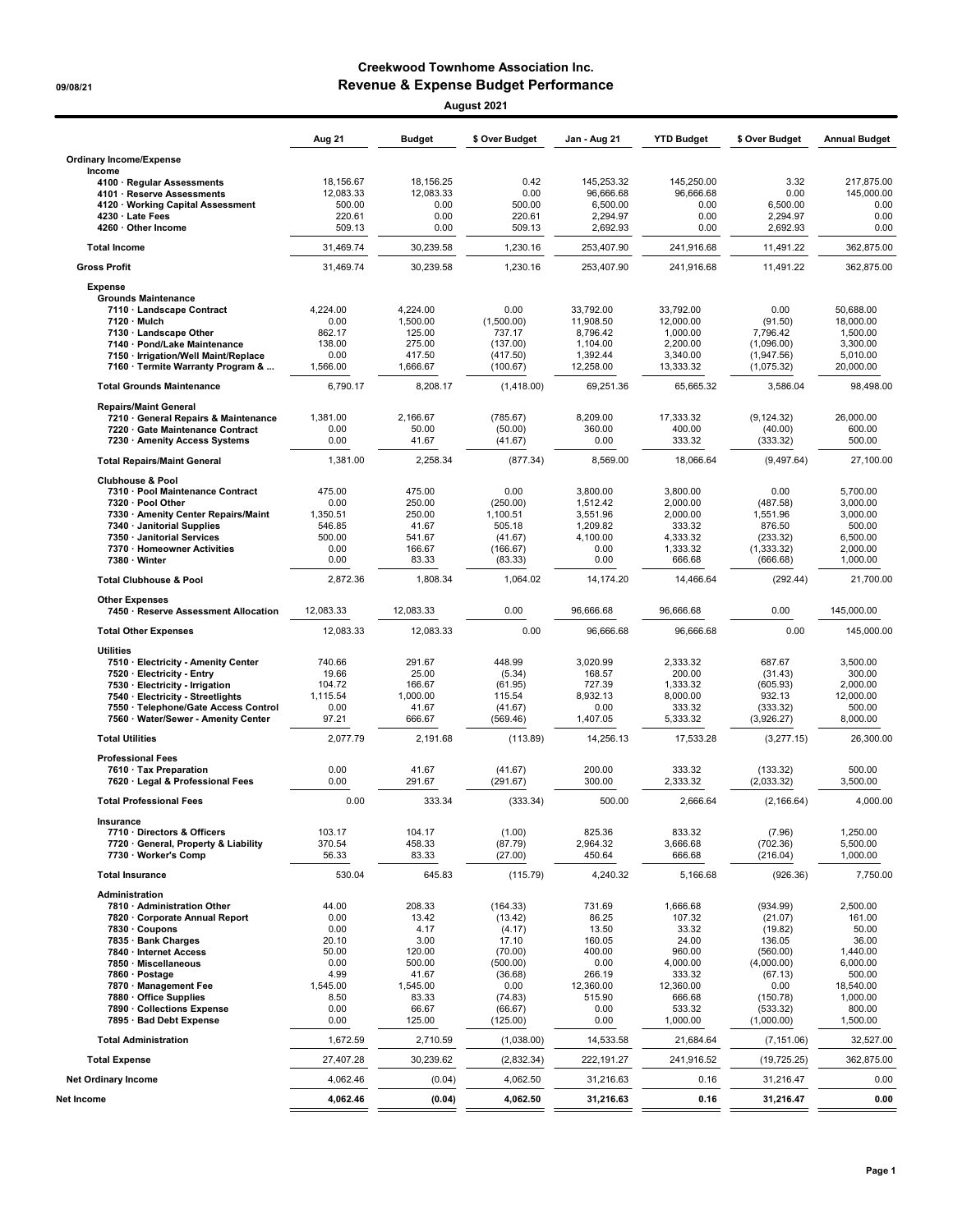## Creekwood Townhome Association Inc. 09/08/21 Revenue & Expense Budget Performance August 2021

|                                                                           | Aug 21             | <b>Budget</b>        | \$ Over Budget       | Jan - Aug 21           | <b>YTD Budget</b>      | \$ Over Budget           | <b>Annual Budget</b>   |
|---------------------------------------------------------------------------|--------------------|----------------------|----------------------|------------------------|------------------------|--------------------------|------------------------|
| <b>Ordinary Income/Expense</b><br>Income                                  |                    |                      |                      |                        |                        |                          |                        |
| 4100 · Regular Assessments                                                | 18,156.67          | 18,156.25            | 0.42                 | 145,253.32             | 145,250.00             | 3.32                     | 217,875.00             |
| 4101 · Reserve Assessments                                                | 12,083.33          | 12,083.33            | 0.00                 | 96,666.68              | 96.666.68              | 0.00                     | 145,000.00             |
| 4120 · Working Capital Assessment<br>4230 · Late Fees                     | 500.00<br>220.61   | 0.00<br>0.00         | 500.00<br>220.61     | 6,500.00<br>2.294.97   | 0.00<br>0.00           | 6,500.00<br>2,294.97     | 0.00<br>0.00           |
| 4260 · Other Income                                                       | 509.13             | 0.00                 | 509.13               | 2,692.93               | 0.00                   | 2,692.93                 | 0.00                   |
| <b>Total Income</b>                                                       | 31,469.74          | 30,239.58            | 1,230.16             | 253,407.90             | 241,916.68             | 11,491.22                | 362,875.00             |
| <b>Gross Profit</b>                                                       | 31,469.74          | 30.239.58            | 1,230.16             | 253,407.90             | 241,916.68             | 11,491.22                | 362.875.00             |
| <b>Expense</b>                                                            |                    |                      |                      |                        |                        |                          |                        |
| <b>Grounds Maintenance</b>                                                |                    |                      |                      |                        |                        |                          |                        |
| 7110 · Landscape Contract<br>7120 · Mulch                                 | 4.224.00<br>0.00   | 4,224.00<br>1,500.00 | 0.00<br>(1,500.00)   | 33,792.00<br>11,908.50 | 33,792.00<br>12,000.00 | 0.00<br>(91.50)          | 50.688.00<br>18,000.00 |
| 7130 · Landscape Other                                                    | 862.17             | 125.00               | 737.17               | 8,796.42               | 1,000.00               | 7.796.42                 | 1,500.00               |
| 7140 · Pond/Lake Maintenance                                              | 138.00             | 275.00               | (137.00)             | 1,104.00               | 2,200.00               | (1,096.00)               | 3,300.00               |
| 7150 · Irrigation/Well Maint/Replace<br>7160 · Termite Warranty Program & | 0.00<br>1,566.00   | 417.50<br>1,666.67   | (417.50)<br>(100.67) | 1,392.44<br>12,258.00  | 3,340.00<br>13,333.32  | (1,947.56)<br>(1,075.32) | 5,010.00<br>20,000.00  |
| <b>Total Grounds Maintenance</b>                                          | 6,790.17           | 8,208.17             | (1,418.00)           | 69,251.36              | 65,665.32              | 3,586.04                 | 98,498.00              |
| <b>Repairs/Maint General</b>                                              |                    |                      |                      |                        |                        |                          |                        |
| 7210 · General Repairs & Maintenance                                      | 1,381.00           | 2,166.67             | (785.67)             | 8.209.00               | 17,333.32              | (9, 124.32)              | 26.000.00              |
| 7220 · Gate Maintenance Contract                                          | 0.00               | 50.00                | (50.00)              | 360.00                 | 400.00                 | (40.00)                  | 600.00                 |
| 7230 · Amenity Access Systems                                             | 0.00               | 41.67                | (41.67)              | 0.00                   | 333.32                 | (333.32)                 | 500.00                 |
| <b>Total Repairs/Maint General</b>                                        | 1,381.00           | 2,258.34             | (877.34)             | 8,569.00               | 18,066.64              | (9, 497.64)              | 27,100.00              |
| <b>Clubhouse &amp; Pool</b><br>7310 · Pool Maintenance Contract           | 475.00             | 475.00               | 0.00                 | 3,800.00               |                        | 0.00                     |                        |
| 7320 · Pool Other                                                         | 0.00               | 250.00               | (250.00)             | 1,512.42               | 3,800.00<br>2,000.00   | (487.58)                 | 5,700.00<br>3,000.00   |
| 7330 • Amenity Center Repairs/Maint                                       | 1,350.51           | 250.00               | 1,100.51             | 3,551.96               | 2,000.00               | 1.551.96                 | 3.000.00               |
| 7340 · Janitorial Supplies                                                | 546.85             | 41.67                | 505.18               | 1,209.82               | 333.32                 | 876.50                   | 500.00                 |
| 7350 · Janitorial Services<br>7370 · Homeowner Activities                 | 500.00<br>0.00     | 541.67<br>166.67     | (41.67)<br>(166.67)  | 4,100.00<br>0.00       | 4,333.32<br>1,333.32   | (233.32)<br>(1, 333.32)  | 6,500.00<br>2,000.00   |
| 7380 · Winter                                                             | 0.00               | 83.33                | (83.33)              | 0.00                   | 666.68                 | (666.68)                 | 1,000.00               |
| <b>Total Clubhouse &amp; Pool</b>                                         | 2,872.36           | 1,808.34             | 1,064.02             | 14,174.20              | 14,466.64              | (292.44)                 | 21,700.00              |
| <b>Other Expenses</b><br>7450 · Reserve Assessment Allocation             | 12,083.33          | 12,083.33            | 0.00                 | 96,666.68              | 96,666.68              | 0.00                     | 145,000.00             |
| <b>Total Other Expenses</b>                                               | 12,083.33          | 12,083.33            | 0.00                 | 96,666.68              | 96,666.68              | 0.00                     | 145,000.00             |
| <b>Utilities</b>                                                          |                    |                      |                      |                        |                        |                          |                        |
| 7510 · Electricity - Amenity Center                                       | 740.66             | 291.67               | 448.99               | 3,020.99               | 2,333.32               | 687.67                   | 3,500.00               |
| 7520 · Electricity - Entry                                                | 19.66              | 25.00                | (5.34)               | 168.57                 | 200.00                 | (31.43)                  | 300.00                 |
| 7530 · Electricity - Irrigation<br>7540 · Electricity - Streetlights      | 104.72<br>1,115.54 | 166.67<br>1,000.00   | (61.95)<br>115.54    | 727.39<br>8,932.13     | 1,333.32<br>8,000.00   | (605.93)<br>932.13       | 2,000.00<br>12,000.00  |
| 7550 · Telephone/Gate Access Control                                      | 0.00               | 41.67                | (41.67)              | 0.00                   | 333.32                 | (333.32)                 | 500.00                 |
| 7560 · Water/Sewer - Amenity Center                                       | 97.21              | 666.67               | (569.46)             | 1,407.05               | 5,333.32               | (3,926.27)               | 8,000.00               |
| <b>Total Utilities</b>                                                    | 2,077.79           | 2,191.68             | (113.89)             | 14,256.13              | 17,533.28              | (3,277.15)               | 26,300.00              |
| <b>Professional Fees</b><br>7610 · Tax Preparation                        | 0.00               | 41.67                | (41.67)              | 200.00                 | 333.32                 | (133.32)                 | 500.00                 |
| 7620 · Legal & Professional Fees                                          | 0.00               | 291.67               | (291.67)             | 300.00                 | 2,333.32               | (2,033.32)               | 3,500.00               |
| <b>Total Professional Fees</b>                                            | 0.00               | 333.34               | (333.34)             | 500.00                 | 2,666.64               | (2, 166.64)              | 4,000.00               |
| Insurance                                                                 |                    |                      |                      |                        |                        |                          |                        |
| 7710 · Directors & Officers<br>7720 · General, Property & Liability       | 103.17<br>370.54   | 104.17<br>458.33     | (1.00)<br>(87.79)    | 825.36<br>2,964.32     | 833.32<br>3,666.68     | (7.96)<br>(702.36)       | 1,250.00<br>5,500.00   |
| 7730 · Worker's Comp                                                      | 56.33              | 83.33                | (27.00)              | 450.64                 | 666.68                 | (216.04)                 | 1,000.00               |
| <b>Total Insurance</b>                                                    | 530.04             | 645.83               | (115.79)             | 4,240.32               | 5,166.68               | (926.36)                 | 7,750.00               |
| Administration                                                            |                    |                      |                      |                        |                        |                          |                        |
| 7810 · Administration Other                                               | 44.00              | 208.33               | (164.33)             | 731.69                 | 1,666.68               | (934.99)                 | 2,500.00               |
| 7820 · Corporate Annual Report<br>7830 · Coupons                          | 0.00<br>0.00       | 13.42<br>4.17        | (13.42)<br>(4.17)    | 86.25<br>13.50         | 107.32<br>33.32        | (21.07)<br>(19.82)       | 161.00<br>50.00        |
| 7835 · Bank Charges                                                       | 20.10              | 3.00                 | 17.10                | 160.05                 | 24.00                  | 136.05                   | 36.00                  |
| 7840 · Internet Access                                                    | 50.00              | 120.00               | (70.00)              | 400.00                 | 960.00                 | (560.00)                 | 1,440.00               |
| 7850 · Miscellaneous<br>7860 · Postage                                    | 0.00<br>4.99       | 500.00<br>41.67      | (500.00)<br>(36.68)  | 0.00<br>266.19         | 4,000.00<br>333.32     | (4,000.00)<br>(67.13)    | 6,000.00<br>500.00     |
| 7870 · Management Fee                                                     | 1,545.00           | 1,545.00             | 0.00                 | 12,360.00              | 12,360.00              | 0.00                     | 18,540.00              |
| 7880 · Office Supplies                                                    | 8.50               | 83.33                | (74.83)              | 515.90                 | 666.68                 | (150.78)                 | 1,000.00               |
| 7890 · Collections Expense<br>7895 · Bad Debt Expense                     | 0.00<br>0.00       | 66.67<br>125.00      | (66.67)<br>(125.00)  | 0.00<br>0.00           | 533.32<br>1,000.00     | (533.32)<br>(1,000.00)   | 800.00<br>1,500.00     |
| <b>Total Administration</b>                                               | 1,672.59           | 2,710.59             | (1,038.00)           | 14,533.58              | 21,684.64              | (7, 151.06)              | 32,527.00              |
| <b>Total Expense</b>                                                      | 27,407.28          | 30,239.62            | (2,832.34)           | 222, 191.27            | 241,916.52             | (19, 725.25)             | 362,875.00             |
| <b>Net Ordinary Income</b>                                                | 4,062.46           | (0.04)               | 4,062.50             | 31,216.63              | 0.16                   | 31,216.47                | 0.00                   |
| Net Income                                                                | 4,062.46           | (0.04)               | 4,062.50             | 31,216.63              | 0.16                   | 31,216.47                | 0.00                   |
|                                                                           |                    |                      |                      |                        |                        |                          |                        |